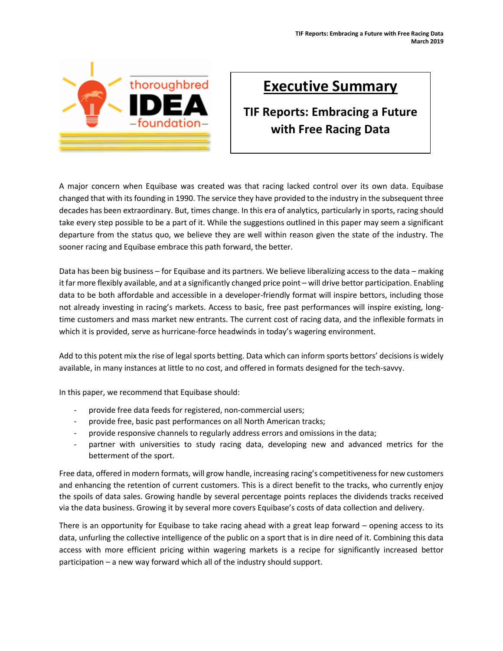

## **Executive Summary**

## **TIF Reports: Embracing a Future with Free Racing Data**

A major concern when Equibase was created was that racing lacked control over its own data. Equibase changed that with its founding in 1990. The service they have provided to the industry in the subsequent three decades has been extraordinary. But, times change. In this era of analytics, particularly in sports, racing should take every step possible to be a part of it. While the suggestions outlined in this paper may seem a significant departure from the status quo, we believe they are well within reason given the state of the industry. The sooner racing and Equibase embrace this path forward, the better.

Data has been big business – for Equibase and its partners. We believe liberalizing access to the data – making it far more flexibly available, and at a significantly changed price point – will drive bettor participation. Enabling data to be both affordable and accessible in a developer-friendly format will inspire bettors, including those not already investing in racing's markets. Access to basic, free past performances will inspire existing, longtime customers and mass market new entrants. The current cost of racing data, and the inflexible formats in which it is provided, serve as hurricane-force headwinds in today's wagering environment.

Add to this potent mix the rise of legal sports betting. Data which can inform sports bettors' decisions is widely available, in many instances at little to no cost, and offered in formats designed for the tech-savvy.

In this paper, we recommend that Equibase should:

- provide free data feeds for registered, non-commercial users;
- provide free, basic past performances on all North American tracks;
- provide responsive channels to regularly address errors and omissions in the data;
- partner with universities to study racing data, developing new and advanced metrics for the betterment of the sport.

Free data, offered in modern formats, will grow handle, increasing racing's competitiveness for new customers and enhancing the retention of current customers. This is a direct benefit to the tracks, who currently enjoy the spoils of data sales. Growing handle by several percentage points replaces the dividends tracks received via the data business. Growing it by several more covers Equibase's costs of data collection and delivery.

There is an opportunity for Equibase to take racing ahead with a great leap forward – opening access to its data, unfurling the collective intelligence of the public on a sport that is in dire need of it. Combining this data access with more efficient pricing within wagering markets is a recipe for significantly increased bettor participation – a new way forward which all of the industry should support.